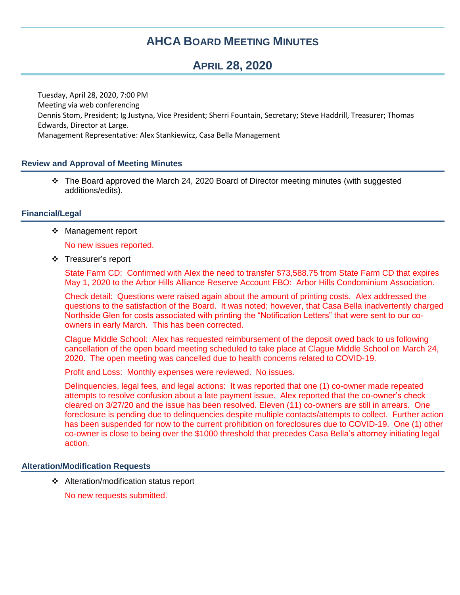# **AHCA BOARD MEETING MINUTES**

# **APRIL 28, 2020**

Tuesday, April 28, 2020, 7:00 PM Meeting via web conferencing Dennis Stom, President; Ig Justyna, Vice President; Sherri Fountain, Secretary; Steve Haddrill, Treasurer; Thomas Edwards, Director at Large. Management Representative: Alex Stankiewicz, Casa Bella Management

## **Review and Approval of Meeting Minutes**

 The Board approved the March 24, 2020 Board of Director meeting minutes (with suggested additions/edits).

### **Financial/Legal**

❖ Management report

No new issues reported.

❖ Treasurer's report

State Farm CD: Confirmed with Alex the need to transfer \$73,588.75 from State Farm CD that expires May 1, 2020 to the Arbor Hills Alliance Reserve Account FBO: Arbor Hills Condominium Association.

Check detail: Questions were raised again about the amount of printing costs. Alex addressed the questions to the satisfaction of the Board. It was noted; however, that Casa Bella inadvertently charged Northside Glen for costs associated with printing the "Notification Letters" that were sent to our coowners in early March. This has been corrected.

Clague Middle School: Alex has requested reimbursement of the deposit owed back to us following cancellation of the open board meeting scheduled to take place at Clague Middle School on March 24, 2020. The open meeting was cancelled due to health concerns related to COVID-19.

Profit and Loss: Monthly expenses were reviewed. No issues.

Delinquencies, legal fees, and legal actions: It was reported that one (1) co-owner made repeated attempts to resolve confusion about a late payment issue. Alex reported that the co-owner's check cleared on 3/27/20 and the issue has been resolved. Eleven (11) co-owners are still in arrears. One foreclosure is pending due to delinquencies despite multiple contacts/attempts to collect. Further action has been suspended for now to the current prohibition on foreclosures due to COVID-19. One (1) other co-owner is close to being over the \$1000 threshold that precedes Casa Bella's attorney initiating legal action.

### **Alteration/Modification Requests**

Alteration/modification status report

No new requests submitted.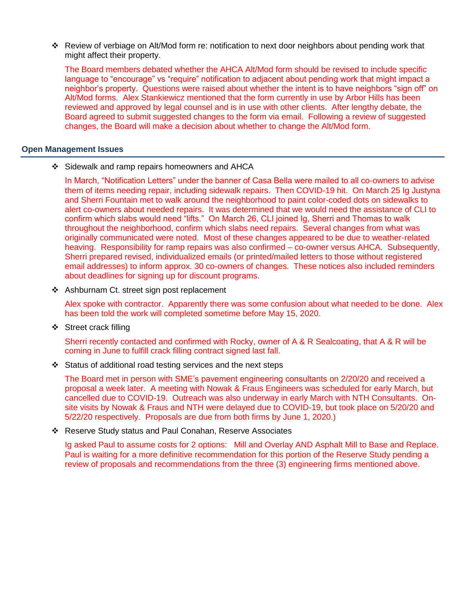Review of verbiage on Alt/Mod form re: notification to next door neighbors about pending work that might affect their property.

The Board members debated whether the AHCA Alt/Mod form should be revised to include specific language to "encourage" vs "require" notification to adjacent about pending work that might impact a neighbor's property. Questions were raised about whether the intent is to have neighbors "sign off" on Alt/Mod forms. Alex Stankiewicz mentioned that the form currently in use by Arbor Hills has been reviewed and approved by legal counsel and is in use with other clients. After lengthy debate, the Board agreed to submit suggested changes to the form via email. Following a review of suggested changes, the Board will make a decision about whether to change the Alt/Mod form.

#### **Open Management Issues**

Sidewalk and ramp repairs homeowners and AHCA

In March, "Notification Letters" under the banner of Casa Bella were mailed to all co-owners to advise them of items needing repair, including sidewalk repairs. Then COVID-19 hit. On March 25 Ig Justyna and Sherri Fountain met to walk around the neighborhood to paint color-coded dots on sidewalks to alert co-owners about needed repairs. It was determined that we would need the assistance of CLI to confirm which slabs would need "lifts." On March 26, CLI joined Ig, Sherri and Thomas to walk throughout the neighborhood, confirm which slabs need repairs. Several changes from what was originally communicated were noted. Most of these changes appeared to be due to weather-related heaving. Responsibility for ramp repairs was also confirmed – co-owner versus AHCA. Subsequently, Sherri prepared revised, individualized emails (or printed/mailed letters to those without registered email addresses) to inform approx. 30 co-owners of changes. These notices also included reminders about deadlines for signing up for discount programs.

❖ Ashburnam Ct. street sign post replacement

Alex spoke with contractor. Apparently there was some confusion about what needed to be done. Alex has been told the work will completed sometime before May 15, 2020.

❖ Street crack filling

Sherri recently contacted and confirmed with Rocky, owner of A & R Sealcoating, that A & R will be coming in June to fulfill crack filling contract signed last fall.

 $\div$  Status of additional road testing services and the next steps

The Board met in person with SME's pavement engineering consultants on 2/20/20 and received a proposal a week later. A meeting with Nowak & Fraus Engineers was scheduled for early March, but cancelled due to COVID-19. Outreach was also underway in early March with NTH Consultants. Onsite visits by Nowak & Fraus and NTH were delayed due to COVID-19, but took place on 5/20/20 and 5/22/20 respectively. Proposals are due from both firms by June 1, 2020.)

Reserve Study status and Paul Conahan, Reserve Associates

Ig asked Paul to assume costs for 2 options: Mill and Overlay AND Asphalt Mill to Base and Replace. Paul is waiting for a more definitive recommendation for this portion of the Reserve Study pending a review of proposals and recommendations from the three (3) engineering firms mentioned above.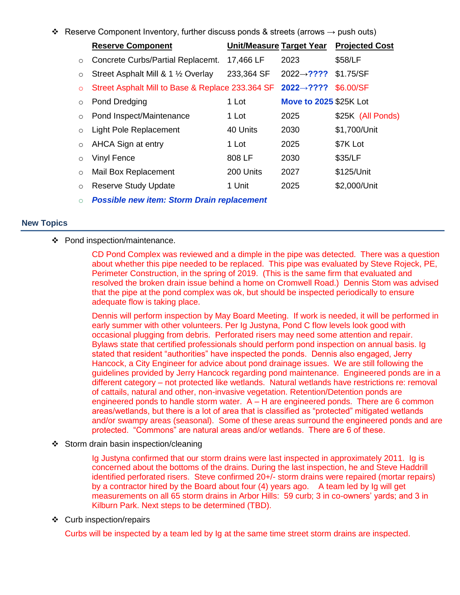$\div$  Reserve Component Inventory, further discuss ponds & streets (arrows  $\rightarrow$  push outs)

|         | <b>Reserve Component</b>                                   |            | Unit/Measure Target Year      | <b>Projected Cost</b> |
|---------|------------------------------------------------------------|------------|-------------------------------|-----------------------|
| $\circ$ | Concrete Curbs/Partial Replacemt.                          | 17,466 LF  | 2023                          | \$58/LF               |
| $\circ$ | Street Asphalt Mill & 1 1/2 Overlay                        | 233,364 SF | 2022 $\rightarrow$ ????       | \$1.75/SF             |
| $\circ$ | Street Asphalt Mill to Base & Replace 233.364 SF 2022→???? |            |                               | \$6,00/SF             |
| $\circ$ | Pond Dredging                                              | 1 Lot      | <b>Move to 2025 \$25K Lot</b> |                       |
| $\circ$ | Pond Inspect/Maintenance                                   | 1 Lot      | 2025                          | \$25K (All Ponds)     |
| $\circ$ | Light Pole Replacement                                     | 40 Units   | 2030                          | \$1,700/Unit          |
| $\circ$ | AHCA Sign at entry                                         | 1 Lot      | 2025                          | \$7K Lot              |
| $\circ$ | <b>Vinyl Fence</b>                                         | 808 LF     | 2030                          | \$35/LF               |
| $\circ$ | Mail Box Replacement                                       | 200 Units  | 2027                          | \$125/Unit            |
| $\circ$ | <b>Reserve Study Update</b>                                | 1 Unit     | 2025                          | \$2,000/Unit          |
| $\circ$ | <b>Possible new item: Storm Drain replacement</b>          |            |                               |                       |

#### **New Topics**

❖ Pond inspection/maintenance.

CD Pond Complex was reviewed and a dimple in the pipe was detected. There was a question about whether this pipe needed to be replaced. This pipe was evaluated by Steve Rojeck, PE, Perimeter Construction, in the spring of 2019. (This is the same firm that evaluated and resolved the broken drain issue behind a home on Cromwell Road.) Dennis Stom was advised that the pipe at the pond complex was ok, but should be inspected periodically to ensure adequate flow is taking place.

Dennis will perform inspection by May Board Meeting. If work is needed, it will be performed in early summer with other volunteers. Per Ig Justyna, Pond C flow levels look good with occasional plugging from debris. Perforated risers may need some attention and repair. Bylaws state that certified professionals should perform pond inspection on annual basis. Ig stated that resident "authorities" have inspected the ponds. Dennis also engaged, Jerry Hancock, a City Engineer for advice about pond drainage issues. We are still following the guidelines provided by Jerry Hancock regarding pond maintenance. Engineered ponds are in a different category – not protected like wetlands. Natural wetlands have restrictions re: removal of cattails, natural and other, non-invasive vegetation. Retention/Detention ponds are engineered ponds to handle storm water. A – H are engineered ponds. There are 6 common areas/wetlands, but there is a lot of area that is classified as "protected" mitigated wetlands and/or swampy areas (seasonal). Some of these areas surround the engineered ponds and are protected. "Commons" are natural areas and/or wetlands. There are 6 of these.

❖ Storm drain basin inspection/cleaning

Ig Justyna confirmed that our storm drains were last inspected in approximately 2011. Ig is concerned about the bottoms of the drains. During the last inspection, he and Steve Haddrill identified perforated risers. Steve confirmed 20+/- storm drains were repaired (mortar repairs) by a contractor hired by the Board about four (4) years ago. A team led by Ig will get measurements on all 65 storm drains in Arbor Hills: 59 curb; 3 in co-owners' yards; and 3 in Kilburn Park. Next steps to be determined (TBD).

Curb inspection/repairs

Curbs will be inspected by a team led by Ig at the same time street storm drains are inspected.